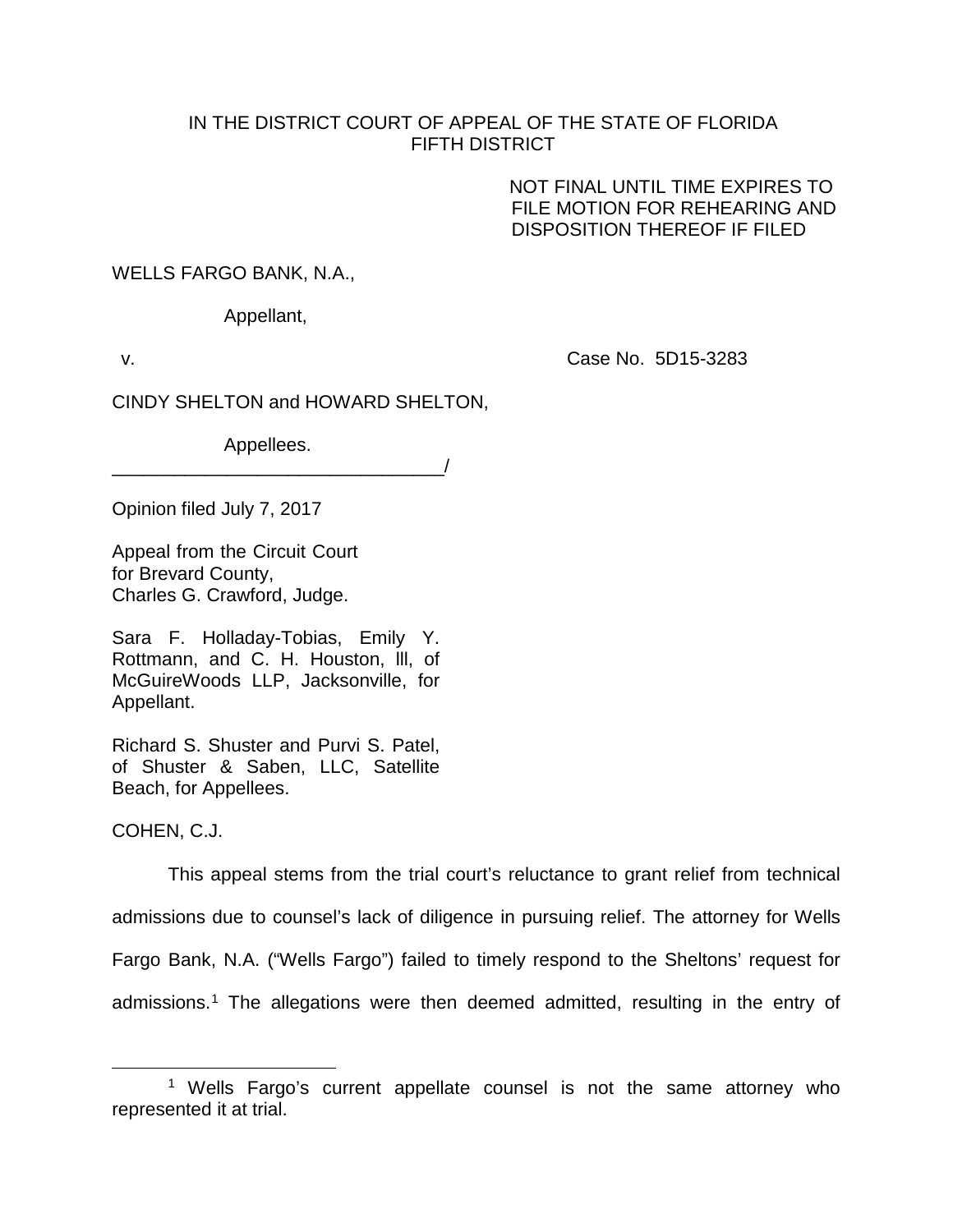## IN THE DISTRICT COURT OF APPEAL OF THE STATE OF FLORIDA FIFTH DISTRICT

NOT FINAL UNTIL TIME EXPIRES TO FILE MOTION FOR REHEARING AND DISPOSITION THEREOF IF FILED

WELLS FARGO BANK, N.A.,

Appellant,

v. Case No. 5D15-3283

CINDY SHELTON and HOWARD SHELTON,

Appellees.

\_\_\_\_\_\_\_\_\_\_\_\_\_\_\_\_\_\_\_\_\_\_\_\_\_\_\_\_\_\_\_\_/

Opinion filed July 7, 2017

Appeal from the Circuit Court for Brevard County, Charles G. Crawford, Judge.

Sara F. Holladay-Tobias, Emily Y. Rottmann, and C. H. Houston, lll, of McGuireWoods LLP, Jacksonville, for Appellant.

Richard S. Shuster and Purvi S. Patel, of Shuster & Saben, LLC, Satellite Beach, for Appellees.

COHEN, C.J.

This appeal stems from the trial court's reluctance to grant relief from technical admissions due to counsel's lack of diligence in pursuing relief. The attorney for Wells Fargo Bank, N.A. ("Wells Fargo") failed to timely respond to the Sheltons' request for admissions. [1](#page-0-0) The allegations were then deemed admitted, resulting in the entry of

<span id="page-0-0"></span><sup>&</sup>lt;sup>1</sup> Wells Fargo's current appellate counsel is not the same attorney who represented it at trial.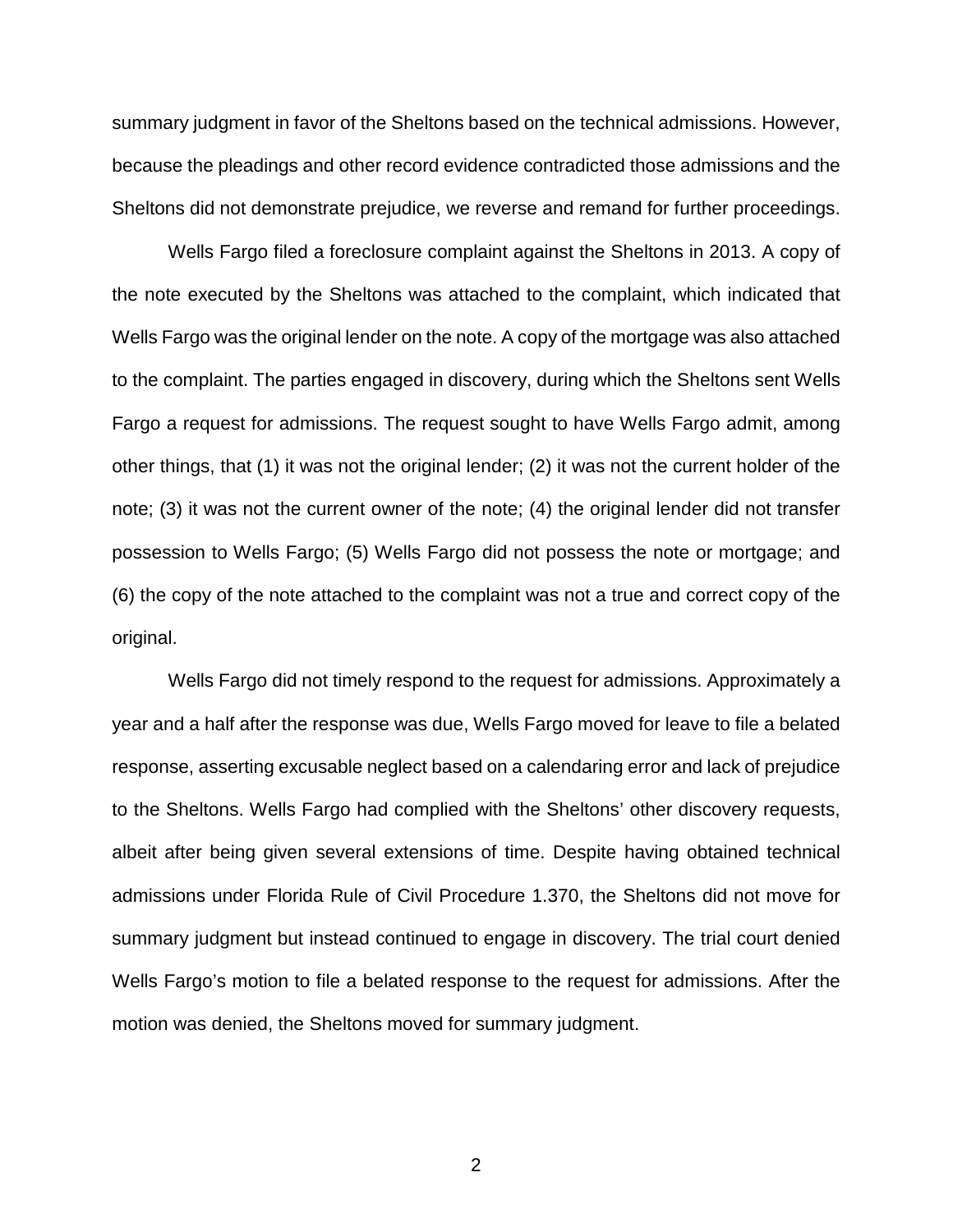summary judgment in favor of the Sheltons based on the technical admissions. However, because the pleadings and other record evidence contradicted those admissions and the Sheltons did not demonstrate prejudice, we reverse and remand for further proceedings.

Wells Fargo filed a foreclosure complaint against the Sheltons in 2013. A copy of the note executed by the Sheltons was attached to the complaint, which indicated that Wells Fargo was the original lender on the note. A copy of the mortgage was also attached to the complaint. The parties engaged in discovery, during which the Sheltons sent Wells Fargo a request for admissions. The request sought to have Wells Fargo admit, among other things, that (1) it was not the original lender; (2) it was not the current holder of the note; (3) it was not the current owner of the note; (4) the original lender did not transfer possession to Wells Fargo; (5) Wells Fargo did not possess the note or mortgage; and (6) the copy of the note attached to the complaint was not a true and correct copy of the original.

Wells Fargo did not timely respond to the request for admissions. Approximately a year and a half after the response was due, Wells Fargo moved for leave to file a belated response, asserting excusable neglect based on a calendaring error and lack of prejudice to the Sheltons. Wells Fargo had complied with the Sheltons' other discovery requests, albeit after being given several extensions of time. Despite having obtained technical admissions under Florida Rule of Civil Procedure 1.370, the Sheltons did not move for summary judgment but instead continued to engage in discovery. The trial court denied Wells Fargo's motion to file a belated response to the request for admissions. After the motion was denied, the Sheltons moved for summary judgment.

2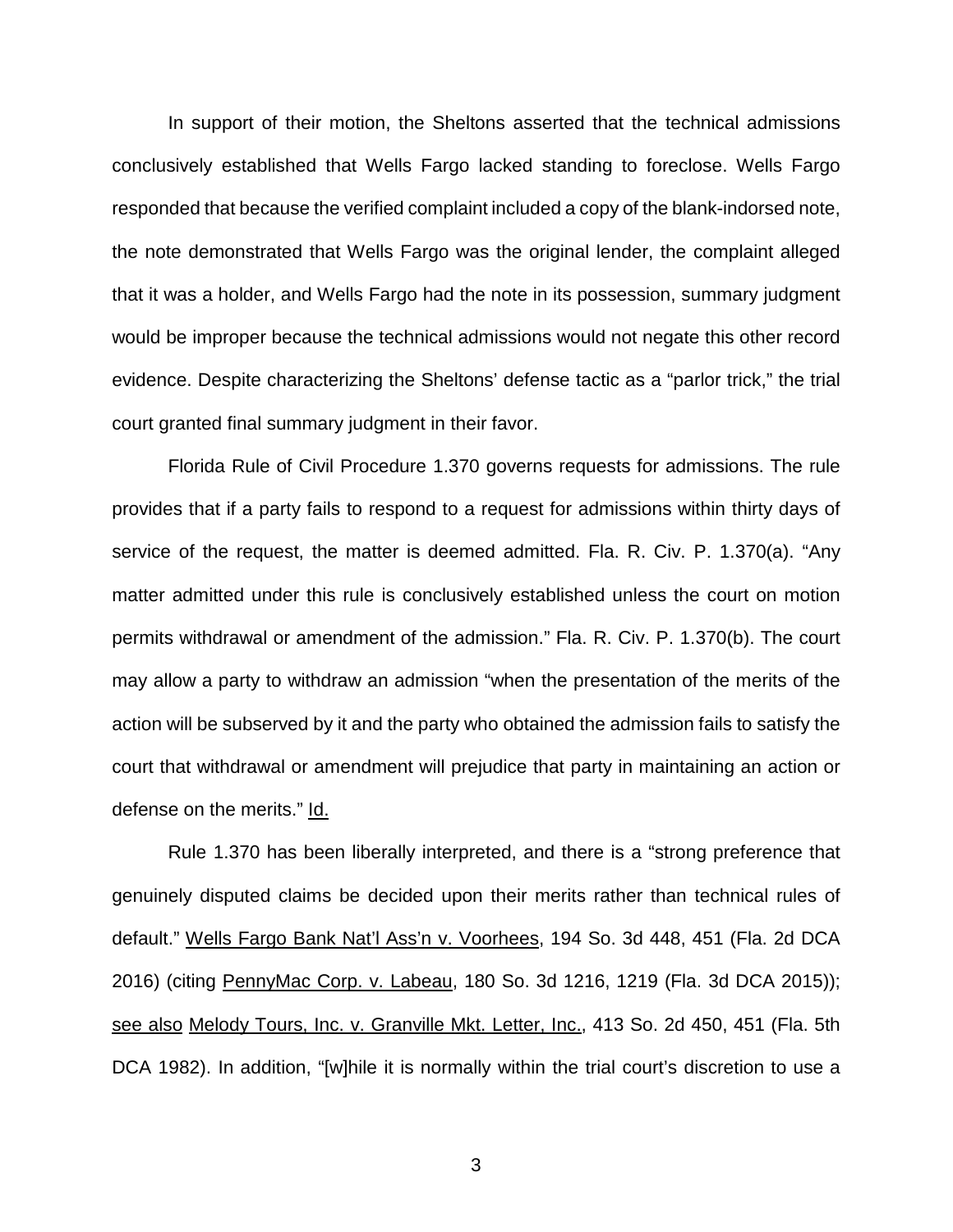In support of their motion, the Sheltons asserted that the technical admissions conclusively established that Wells Fargo lacked standing to foreclose. Wells Fargo responded that because the verified complaint included a copy of the blank-indorsed note, the note demonstrated that Wells Fargo was the original lender, the complaint alleged that it was a holder, and Wells Fargo had the note in its possession, summary judgment would be improper because the technical admissions would not negate this other record evidence. Despite characterizing the Sheltons' defense tactic as a "parlor trick," the trial court granted final summary judgment in their favor.

Florida Rule of Civil Procedure 1.370 governs requests for admissions. The rule provides that if a party fails to respond to a request for admissions within thirty days of service of the request, the matter is deemed admitted. Fla. R. Civ. P. 1.370(a). "Any matter admitted under this rule is conclusively established unless the court on motion permits withdrawal or amendment of the admission." Fla. R. Civ. P. 1.370(b). The court may allow a party to withdraw an admission "when the presentation of the merits of the action will be subserved by it and the party who obtained the admission fails to satisfy the court that withdrawal or amendment will prejudice that party in maintaining an action or defense on the merits." Id.

Rule 1.370 has been liberally interpreted, and there is a "strong preference that genuinely disputed claims be decided upon their merits rather than technical rules of default." Wells Fargo Bank Nat'l Ass'n v. Voorhees, 194 So. 3d 448, 451 (Fla. 2d DCA 2016) (citing PennyMac Corp. v. Labeau, 180 So. 3d 1216, 1219 (Fla. 3d DCA 2015)); see also Melody Tours, Inc. v. Granville Mkt. Letter, Inc., 413 So. 2d 450, 451 (Fla. 5th DCA 1982). In addition, "[w]hile it is normally within the trial court's discretion to use a

3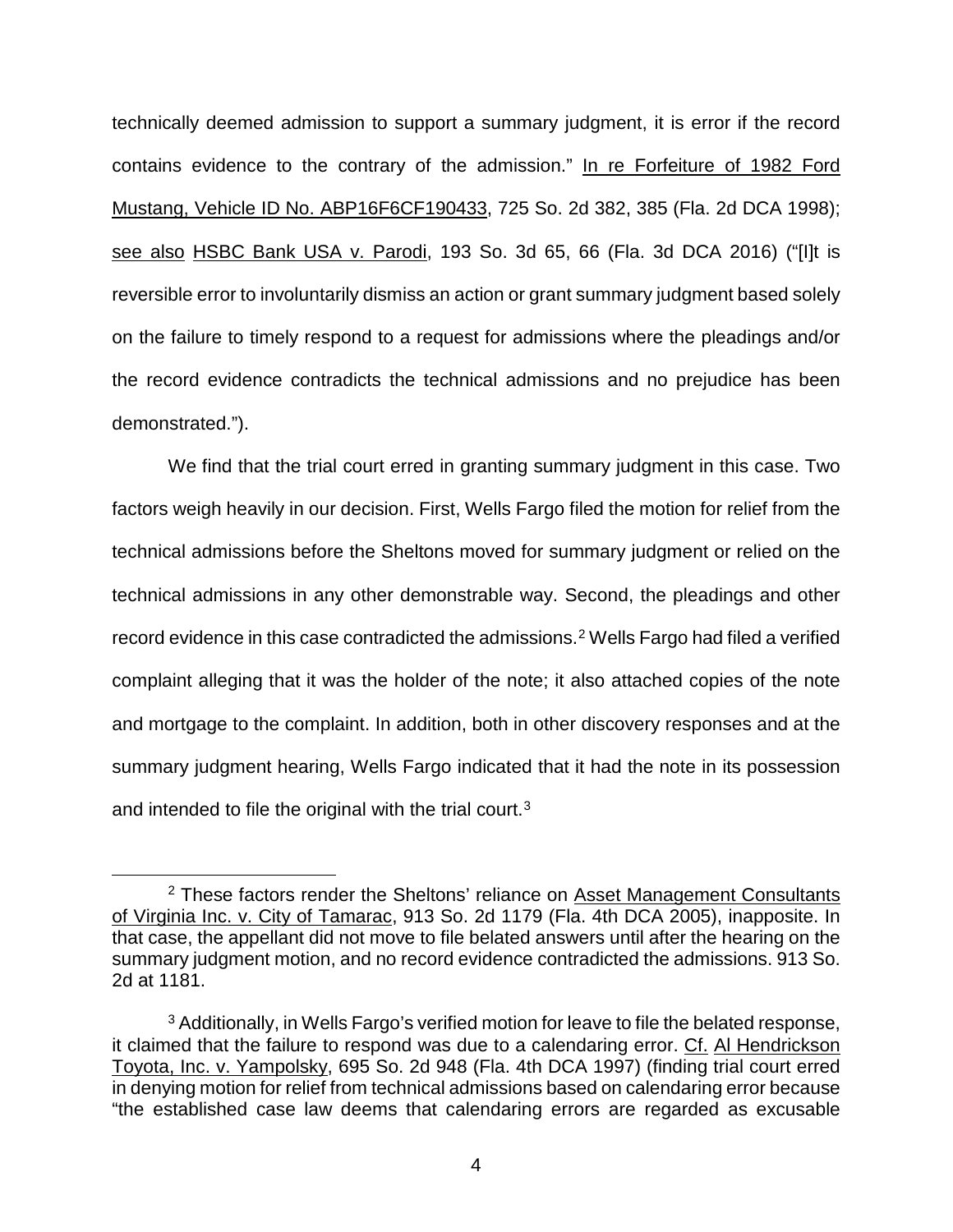technically deemed admission to support a summary judgment, it is error if the record contains evidence to the contrary of the admission." In re Forfeiture of 1982 Ford Mustang, Vehicle ID No. ABP16F6CF190433, 725 So. 2d 382, 385 (Fla. 2d DCA 1998); see also HSBC Bank USA v. Parodi, 193 So. 3d 65, 66 (Fla. 3d DCA 2016) ("[I]t is reversible error to involuntarily dismiss an action or grant summary judgment based solely on the failure to timely respond to a request for admissions where the pleadings and/or the record evidence contradicts the technical admissions and no prejudice has been demonstrated.").

We find that the trial court erred in granting summary judgment in this case. Two factors weigh heavily in our decision. First, Wells Fargo filed the motion for relief from the technical admissions before the Sheltons moved for summary judgment or relied on the technical admissions in any other demonstrable way. Second, the pleadings and other record evidence in this case contradicted the admissions. [2](#page-3-0) Wells Fargo had filed a verified complaint alleging that it was the holder of the note; it also attached copies of the note and mortgage to the complaint. In addition, both in other discovery responses and at the summary judgment hearing, Wells Fargo indicated that it had the note in its possession and intended to file the original with the trial court.<sup>[3](#page-3-1)</sup>

<span id="page-3-0"></span> $2$  These factors render the Sheltons' reliance on Asset Management Consultants of Virginia Inc. v. City of Tamarac, 913 So. 2d 1179 (Fla. 4th DCA 2005), inapposite. In that case, the appellant did not move to file belated answers until after the hearing on the summary judgment motion, and no record evidence contradicted the admissions. 913 So. 2d at 1181.

<span id="page-3-1"></span> $3$  Additionally, in Wells Fargo's verified motion for leave to file the belated response, it claimed that the failure to respond was due to a calendaring error. Cf. Al Hendrickson Toyota, Inc. v. Yampolsky, 695 So. 2d 948 (Fla. 4th DCA 1997) (finding trial court erred in denying motion for relief from technical admissions based on calendaring error because "the established case law deems that calendaring errors are regarded as excusable